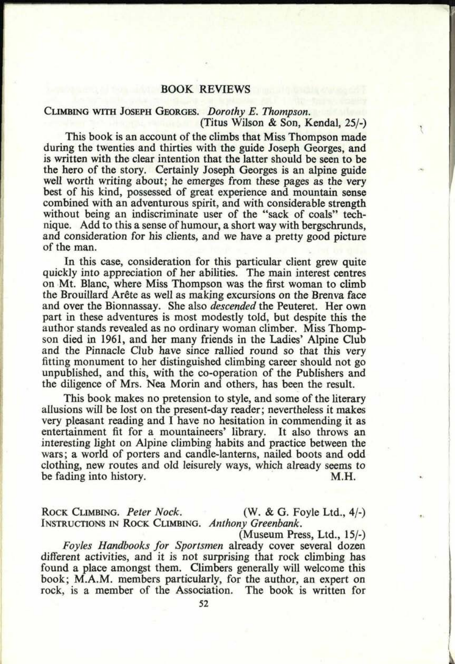## BOOK REVIEWS

## CLIMBING WITH JOSEPH GEORGES. *Dorothy E. Thompson.* (Titus Wilson & Son, Kendal, 25/-)

This book is an account of the climbs that Miss Thompson made during the twenties and thirties with the guide Joseph Georges, and is written with the clear intention that the latter should be seen to be the hero of the story. Certainly Joseph Georges is an alpine guide well worth writing about; he emerges from these pages as the very best of his kind, possessed of great experience and mountain sense combined with an adventurous spirit, and with considerable strength without being an indiscriminate user of the "sack of coals" technique. Add to this <sup>a</sup>sense of humour, a short way with bergschrunds, and consideration for his clients, and we have a pretty good picture of the man.

In this case, consideration for this particular client grew quite quickly into appreciation of her abilities. The main interest centres on Mt. Blanc, where Miss Thompson was the first woman to climb the Brouillard Arete as well as making excursions on the Brenva face and over the Bionnassay. She also *descended* the Peuteret. Her own part in these adventures is most modestly told, but despite this the author stands revealed as no ordinary woman climber. Miss Thompson died in 1961, and her many friends in the Ladies' Alpine Club and the Pinnacle Club have since rallied round so that this very fitting monument to her distinguished climbing career should not go unpublished, and this, with the co-operation of the Publishers and the diligence of Mrs. Nea Morin and others, has been the result.

This book makes no pretension to style, and some of the literary allusions will be lost on the present-day reader; nevertheless it makes very pleasant reading and I have no hesitation in commending it as entertainment fit for a mountaineers' library. It also throws an interesting light on Alpine climbing habits and practice between the wars; a world of porters and candle-lanterns, nailed boots and odd clothing, new routes and old leisurely ways, which already seems to be fading into history. M.H.

ROCK CLIMBING. *Peter Nock*. (W. & G. Foyle Ltd., 4/-) INSTRUCTIONS IN ROCK CLIMBING. *Anthony Greenbank.*

(Museum Press, Ltd., 15/-) *Foyles Handbooks for Sportsmen* already cover several dozen different activities, and it is not surprising that rock climbing has found a place amongst them. Climbers generally will welcome this book; M.A.M. members particularly, for the author, an expert on rock, is a member of the Association. The book is written for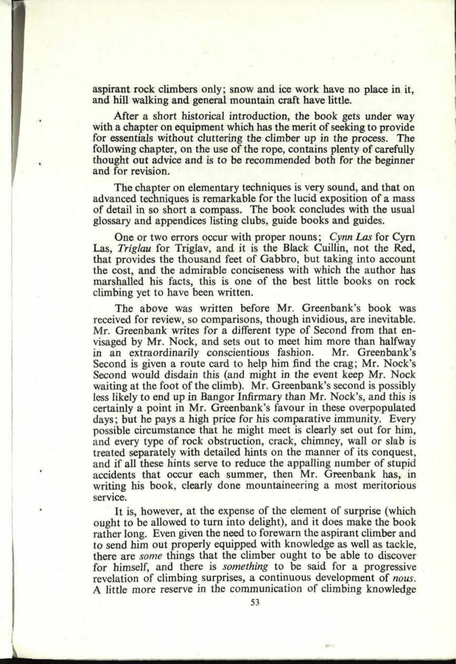aspirant rock climbers only; snow and ice work have no place in it, and hill walking and general mountain craft have little.

**60. 0846**

After a short historical introduction, the book gets under way with a chapter on equipment which has the merit of seeking to provide for essentials without cluttering the climber up in the process. The following chapter, on the use of the rope, contains plenty of carefully thought out advice and is to be recommended both for the beginner and for revision.

The chapter on elementary techniques is very sound, and that on advanced techniques is remarkable for the lucid exposition of a mass of detail in so short a compass. The book concludes with the usual glossary and appendices listing clubs, guide books and guides.

One or two errors occur with proper nouns; *Cynn Las* for Cyrn Las, *Triglau* for Triglav, and it is the Black Cuillin, not the Red, that provides the thousand feet of Gabbro, but taking into account the cost, and the admirable conciseness with which the author has marshalled his facts, this is one of the best little books on rock climbing yet to have been written.

The above was written before Mr. Greenbank's book was received for review, so comparisons, though invidious, are inevitable. Mr. Greenbank writes for a different type of Second from that envisaged by Mr. Nock, and sets out to meet him more than halfway<br>in an extraordinarily conscientious fashion. Mr. Greenbank's in an extraordinarily conscientious fashion. Second is given a route card to help him find the crag; Mr. Nock's Second would disdain this (and might in the event keep Mr. Nock waiting at the foot of the climb). Mr. Greenbank's second is possibly less likely to end up in Bangor Infirmary than Mr. Nock's, and this is certainly a point in Mr. Greenbank's favour in these overpopulated days; but he pays a high price for his comparative immunity. Every possible circumstance that he might meet is clearly set out for him, and every type of rock obstruction, crack, chimney, wall or slab is treated separately with detailed hints on the manner of its conquest, and if all these hints serve to reduce the appalling number of stupid accidents that occur each summer, then Mr. Greenbank has, in writing his book, clearly done mountaineering a most meritorious service.

It is, however, at the expense of the element of surprise (which ought to be allowed to turn into delight), and it does make the book rather long. Even given the need to forewarn the aspirant climber and to send him out properly equipped with knowledge as well as tackle, there are *some* things that the climber ought to be able to discover for himself, and there is *something* to be said for a progressive revelation of climbing surprises, a continuous development of *nous.*  A little more reserve in the communication of climbing knowledge